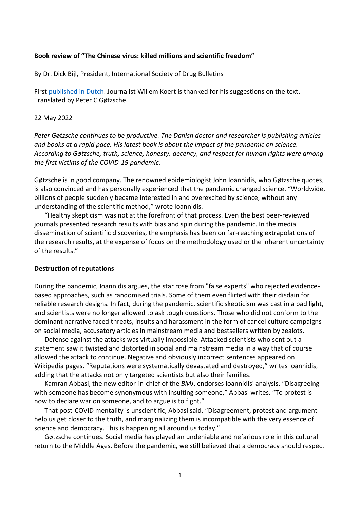## **Book review of "The Chinese virus: killed millions and scientific freedom"**

By Dr. Dick Bijl, President, International Society of Drug Bulletins

First [published in Dutch.](https://overnu.nl/peter-gotzsche-chinavirus-recensie/) Journalist Willem Koert is thanked for his suggestions on the text. Translated by Peter C Gøtzsche.

#### 22 May 2022

*Peter Gøtzsche continues to be productive. The Danish doctor and researcher is publishing articles and books at a rapid pace. His latest book is about the impact of the pandemic on science. According to Gøtzsche, truth, science, honesty, decency, and respect for human rights were among the first victims of the COVID-19 pandemic.* 

Gøtzsche is in good company. The renowned epidemiologist John Ioannidis, who Gøtzsche quotes, is also convinced and has personally experienced that the pandemic changed science. "Worldwide, billions of people suddenly became interested in and overexcited by science, without any understanding of the scientific method," wrote Ioannidis.

"Healthy skepticism was not at the forefront of that process. Even the best peer-reviewed journals presented research results with bias and spin during the pandemic. In the media dissemination of scientific discoveries, the emphasis has been on far-reaching extrapolations of the research results, at the expense of focus on the methodology used or the inherent uncertainty of the results."

## **Destruction of reputations**

During the pandemic, Ioannidis argues, the star rose from "false experts" who rejected evidencebased approaches, such as randomised trials. Some of them even flirted with their disdain for reliable research designs. In fact, during the pandemic, scientific skepticism was cast in a bad light, and scientists were no longer allowed to ask tough questions. Those who did not conform to the dominant narrative faced threats, insults and harassment in the form of cancel culture campaigns on social media, accusatory articles in mainstream media and bestsellers written by zealots.

Defense against the attacks was virtually impossible. Attacked scientists who sent out a statement saw it twisted and distorted in social and mainstream media in a way that of course allowed the attack to continue. Negative and obviously incorrect sentences appeared on Wikipedia pages. "Reputations were systematically devastated and destroyed," writes Ioannidis, adding that the attacks not only targeted scientists but also their families.

Kamran Abbasi, the new editor-in-chief of the *BMJ*, endorses Ioannidis' analysis. "Disagreeing with someone has become synonymous with insulting someone," Abbasi writes. "To protest is now to declare war on someone, and to argue is to fight."

That post-COVID mentality is unscientific, Abbasi said. "Disagreement, protest and argument help us get closer to the truth, and marginalizing them is incompatible with the very essence of science and democracy. This is happening all around us today."

Gøtzsche continues. Social media has played an undeniable and nefarious role in this cultural return to the Middle Ages. Before the pandemic, we still believed that a democracy should respect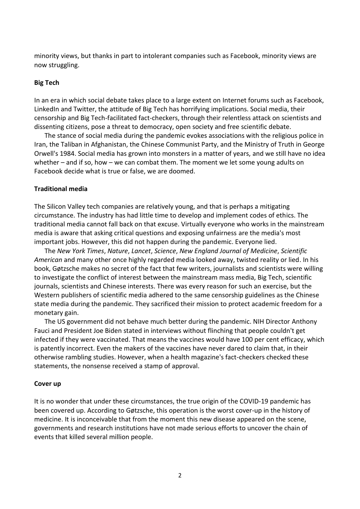minority views, but thanks in part to intolerant companies such as Facebook, minority views are now struggling.

# **Big Tech**

In an era in which social debate takes place to a large extent on Internet forums such as Facebook, LinkedIn and Twitter, the attitude of Big Tech has horrifying implications. Social media, their censorship and Big Tech-facilitated fact-checkers, through their relentless attack on scientists and dissenting citizens, pose a threat to democracy, open society and free scientific debate.

The stance of social media during the pandemic evokes associations with the religious police in Iran, the Taliban in Afghanistan, the Chinese Communist Party, and the Ministry of Truth in George Orwell's 1984. Social media has grown into monsters in a matter of years, and we still have no idea whether – and if so, how – we can combat them. The moment we let some young adults on Facebook decide what is true or false, we are doomed.

## **Traditional media**

The Silicon Valley tech companies are relatively young, and that is perhaps a mitigating circumstance. The industry has had little time to develop and implement codes of ethics. The traditional media cannot fall back on that excuse. Virtually everyone who works in the mainstream media is aware that asking critical questions and exposing unfairness are the media's most important jobs. However, this did not happen during the pandemic. Everyone lied.

The *New York Times*, *Nature*, *Lancet*, *Science*, *New England Journal of Medicine*, *Scientific American* and many other once highly regarded media looked away, twisted reality or lied. In his book, Gøtzsche makes no secret of the fact that few writers, journalists and scientists were willing to investigate the conflict of interest between the mainstream mass media, Big Tech, scientific journals, scientists and Chinese interests. There was every reason for such an exercise, but the Western publishers of scientific media adhered to the same censorship guidelines as the Chinese state media during the pandemic. They sacrificed their mission to protect academic freedom for a monetary gain.

The US government did not behave much better during the pandemic. NIH Director Anthony Fauci and President Joe Biden stated in interviews without flinching that people couldn't get infected if they were vaccinated. That means the vaccines would have 100 per cent efficacy, which is patently incorrect. Even the makers of the vaccines have never dared to claim that, in their otherwise rambling studies. However, when a health magazine's fact-checkers checked these statements, the nonsense received a stamp of approval.

## **Cover up**

It is no wonder that under these circumstances, the true origin of the COVID-19 pandemic has been covered up. According to Gøtzsche, this operation is the worst cover-up in the history of medicine. It is inconceivable that from the moment this new disease appeared on the scene, governments and research institutions have not made serious efforts to uncover the chain of events that killed several million people.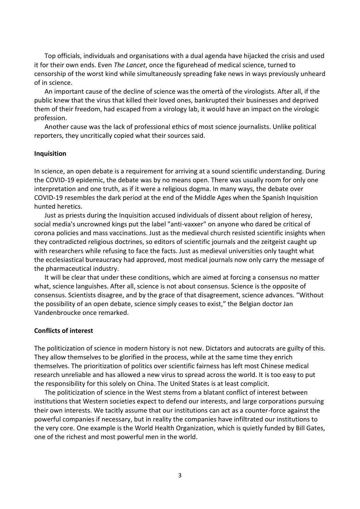Top officials, individuals and organisations with a dual agenda have hijacked the crisis and used it for their own ends. Even *The Lancet*, once the figurehead of medical science, turned to censorship of the worst kind while simultaneously spreading fake news in ways previously unheard of in science.

An important cause of the decline of science was the omertà of the virologists. After all, if the public knew that the virus that killed their loved ones, bankrupted their businesses and deprived them of their freedom, had escaped from a virology lab, it would have an impact on the virologic profession.

Another cause was the lack of professional ethics of most science journalists. Unlike political reporters, they uncritically copied what their sources said.

#### **Inquisition**

In science, an open debate is a requirement for arriving at a sound scientific understanding. During the COVID-19 epidemic, the debate was by no means open. There was usually room for only one interpretation and one truth, as if it were a religious dogma. In many ways, the debate over COVID-19 resembles the dark period at the end of the Middle Ages when the Spanish Inquisition hunted heretics.

Just as priests during the Inquisition accused individuals of dissent about religion of heresy, social media's uncrowned kings put the label "anti-vaxxer" on anyone who dared be critical of corona policies and mass vaccinations. Just as the medieval church resisted scientific insights when they contradicted religious doctrines, so editors of scientific journals and the zeitgeist caught up with researchers while refusing to face the facts. Just as medieval universities only taught what the ecclesiastical bureaucracy had approved, most medical journals now only carry the message of the pharmaceutical industry.

It will be clear that under these conditions, which are aimed at forcing a consensus no matter what, science languishes. After all, science is not about consensus. Science is the opposite of consensus. Scientists disagree, and by the grace of that disagreement, science advances. "Without the possibility of an open debate, science simply ceases to exist," the Belgian doctor Jan Vandenbroucke once remarked.

## **Conflicts of interest**

The politicization of science in modern history is not new. Dictators and autocrats are guilty of this. They allow themselves to be glorified in the process, while at the same time they enrich themselves. The prioritization of politics over scientific fairness has left most Chinese medical research unreliable and has allowed a new virus to spread across the world. It is too easy to put the responsibility for this solely on China. The United States is at least complicit.

The politicization of science in the West stems from a blatant conflict of interest between institutions that Western societies expect to defend our interests, and large corporations pursuing their own interests. We tacitly assume that our institutions can act as a counter-force against the powerful companies if necessary, but in reality the companies have infiltrated our institutions to the very core. One example is the World Health Organization, which is quietly funded by Bill Gates, one of the richest and most powerful men in the world.